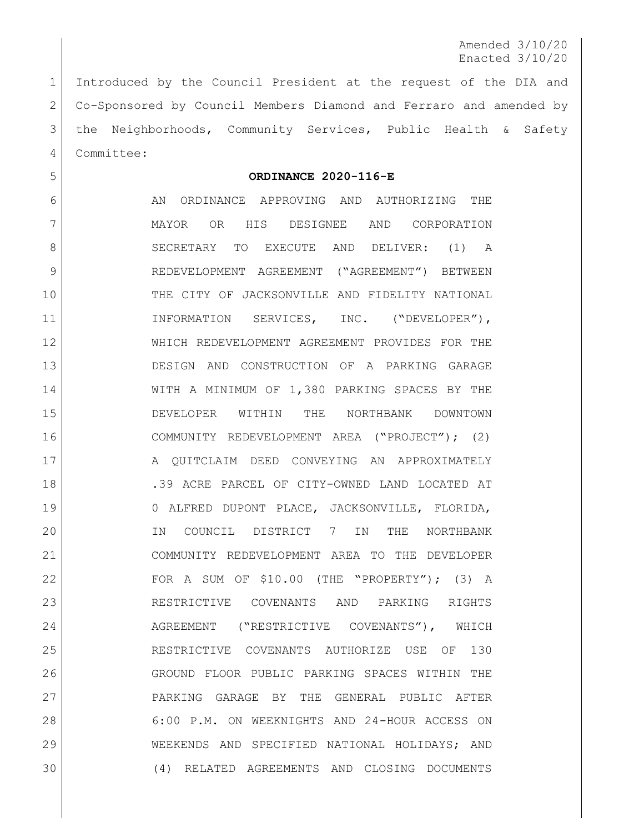Amended 3/10/20 Enacted 3/10/20

 Introduced by the Council President at the request of the DIA and Co-Sponsored by Council Members Diamond and Ferraro and amended by 3 | the Neighborhoods, Community Services, Public Health & Safety Committee:

**ORDINANCE 2020-116-E**

6 AN ORDINANCE APPROVING AND AUTHORIZING THE MAYOR OR HIS DESIGNEE AND CORPORATION 8 SECRETARY TO EXECUTE AND DELIVER: (1) A REDEVELOPMENT AGREEMENT ("AGREEMENT") BETWEEN THE CITY OF JACKSONVILLE AND FIDELITY NATIONAL 11 | INFORMATION SERVICES, INC. ("DEVELOPER"), WHICH REDEVELOPMENT AGREEMENT PROVIDES FOR THE DESIGN AND CONSTRUCTION OF A PARKING GARAGE WITH A MINIMUM OF 1,380 PARKING SPACES BY THE DEVELOPER WITHIN THE NORTHBANK DOWNTOWN COMMUNITY REDEVELOPMENT AREA ("PROJECT"); (2) 17 | A QUITCLAIM DEED CONVEYING AN APPROXIMATELY **.**39 ACRE PARCEL OF CITY-OWNED LAND LOCATED AT 0 ALFRED DUPONT PLACE, JACKSONVILLE, FLORIDA, IN COUNCIL DISTRICT 7 IN THE NORTHBANK COMMUNITY REDEVELOPMENT AREA TO THE DEVELOPER FOR A SUM OF \$10.00 (THE "PROPERTY"); (3) A RESTRICTIVE COVENANTS AND PARKING RIGHTS 24 AGREEMENT ("RESTRICTIVE COVENANTS"), WHICH RESTRICTIVE COVENANTS AUTHORIZE USE OF 130 GROUND FLOOR PUBLIC PARKING SPACES WITHIN THE PARKING GARAGE BY THE GENERAL PUBLIC AFTER 6:00 P.M. ON WEEKNIGHTS AND 24-HOUR ACCESS ON WEEKENDS AND SPECIFIED NATIONAL HOLIDAYS; AND (4) RELATED AGREEMENTS AND CLOSING DOCUMENTS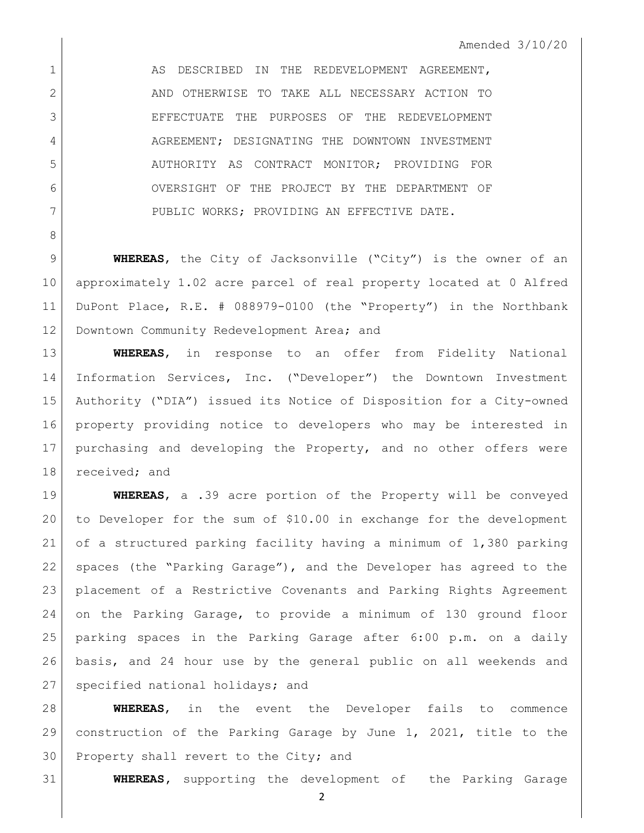1 AS DESCRIBED IN THE REDEVELOPMENT AGREEMENT, AND OTHERWISE TO TAKE ALL NECESSARY ACTION TO EFFECTUATE THE PURPOSES OF THE REDEVELOPMENT 4 AGREEMENT; DESIGNATING THE DOWNTOWN INVESTMENT AUTHORITY AS CONTRACT MONITOR; PROVIDING FOR OVERSIGHT OF THE PROJECT BY THE DEPARTMENT OF 7 PUBLIC WORKS; PROVIDING AN EFFECTIVE DATE.

 **WHEREAS**, the City of Jacksonville ("City") is the owner of an approximately 1.02 acre parcel of real property located at 0 Alfred DuPont Place, R.E. # 088979-0100 (the "Property") in the Northbank 12 Downtown Community Redevelopment Area; and

 **WHEREAS**, in response to an offer from Fidelity National Information Services, Inc. ("Developer") the Downtown Investment Authority ("DIA") issued its Notice of Disposition for a City-owned property providing notice to developers who may be interested in purchasing and developing the Property, and no other offers were 18 received; and

 **WHEREAS**, a .39 acre portion of the Property will be conveyed to Developer for the sum of \$10.00 in exchange for the development of a structured parking facility having a minimum of 1,380 parking 22 | spaces (the "Parking Garage"), and the Developer has agreed to the placement of a Restrictive Covenants and Parking Rights Agreement on the Parking Garage, to provide a minimum of 130 ground floor parking spaces in the Parking Garage after 6:00 p.m. on a daily basis, and 24 hour use by the general public on all weekends and 27 specified national holidays; and

 **WHEREAS**, in the event the Developer fails to commence construction of the Parking Garage by June 1, 2021, title to the 30 Property shall revert to the City; and

**WHEREAS,** supporting the development of the Parking Garage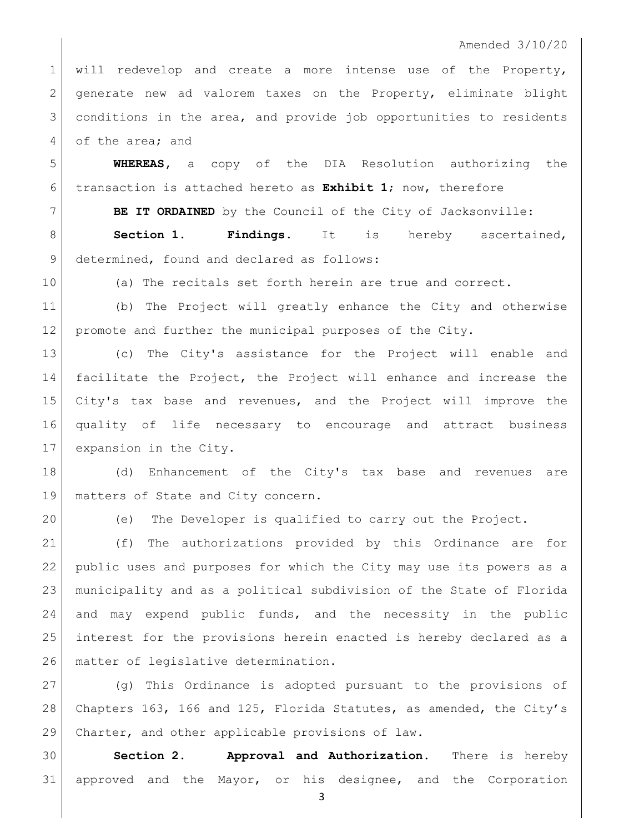## Amended 3/10/20

1 will redevelop and create a more intense use of the Property, 2 generate new ad valorem taxes on the Property, eliminate blight conditions in the area, and provide job opportunities to residents 4 of the area; and

 **WHEREAS,** a copy of the DIA Resolution authorizing the transaction is attached hereto as **Exhibit 1**; now, therefore

 **BE IT ORDAINED** by the Council of the City of Jacksonville: **Section 1. Findings.** It is hereby ascertained, 9 determined, found and declared as follows:

(a) The recitals set forth herein are true and correct.

 (b) The Project will greatly enhance the City and otherwise promote and further the municipal purposes of the City.

 (c) The City's assistance for the Project will enable and facilitate the Project, the Project will enhance and increase the City's tax base and revenues, and the Project will improve the quality of life necessary to encourage and attract business expansion in the City.

 (d) Enhancement of the City's tax base and revenues are 19 | matters of State and City concern.

(e) The Developer is qualified to carry out the Project.

 (f) The authorizations provided by this Ordinance are for public uses and purposes for which the City may use its powers as a municipality and as a political subdivision of the State of Florida and may expend public funds, and the necessity in the public interest for the provisions herein enacted is hereby declared as a 26 | matter of legislative determination.

 (g) This Ordinance is adopted pursuant to the provisions of Chapters 163, 166 and 125, Florida Statutes, as amended, the City's 29 Charter, and other applicable provisions of law.

 **Section 2. Approval and Authorization.** There is hereby approved and the Mayor, or his designee, and the Corporation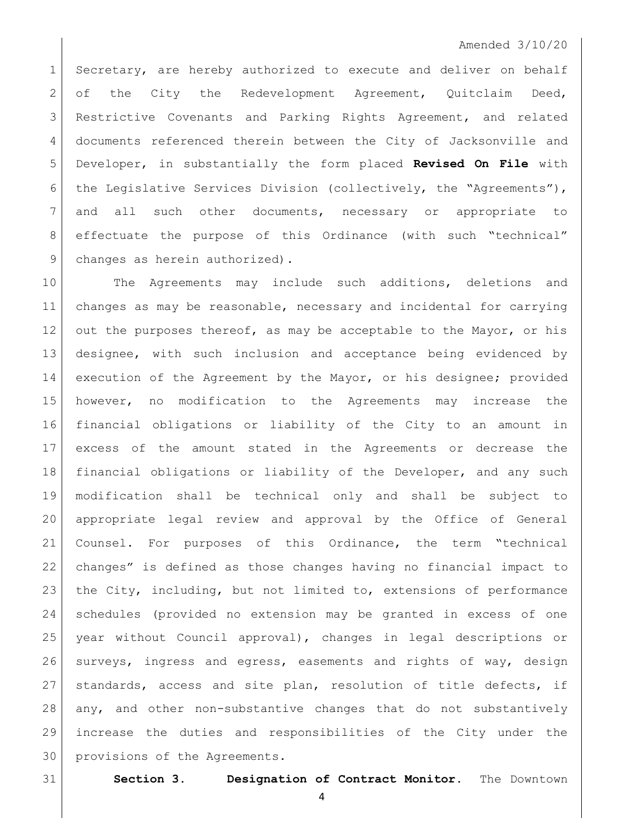## Amended 3/10/20

1 Secretary, are hereby authorized to execute and deliver on behalf of the City the Redevelopment Agreement, Quitclaim Deed, Restrictive Covenants and Parking Rights Agreement, and related 4 documents referenced therein between the City of Jacksonville and Developer, in substantially the form placed **Revised On File** with 6 the Legislative Services Division (collectively, the "Agreements"), and all such other documents, necessary or appropriate to effectuate the purpose of this Ordinance (with such "technical" 9 changes as herein authorized).

 The Agreements may include such additions, deletions and changes as may be reasonable, necessary and incidental for carrying 12 out the purposes thereof, as may be acceptable to the Mayor, or his designee, with such inclusion and acceptance being evidenced by 14 execution of the Agreement by the Mayor, or his designee; provided however, no modification to the Agreements may increase the financial obligations or liability of the City to an amount in excess of the amount stated in the Agreements or decrease the financial obligations or liability of the Developer, and any such modification shall be technical only and shall be subject to appropriate legal review and approval by the Office of General Counsel. For purposes of this Ordinance, the term "technical changes" is defined as those changes having no financial impact to 23 the City, including, but not limited to, extensions of performance schedules (provided no extension may be granted in excess of one year without Council approval), changes in legal descriptions or surveys, ingress and egress, easements and rights of way, design 27 | standards, access and site plan, resolution of title defects, if any, and other non-substantive changes that do not substantively increase the duties and responsibilities of the City under the provisions of the Agreements.

**Section 3. Designation of Contract Monitor.** The Downtown